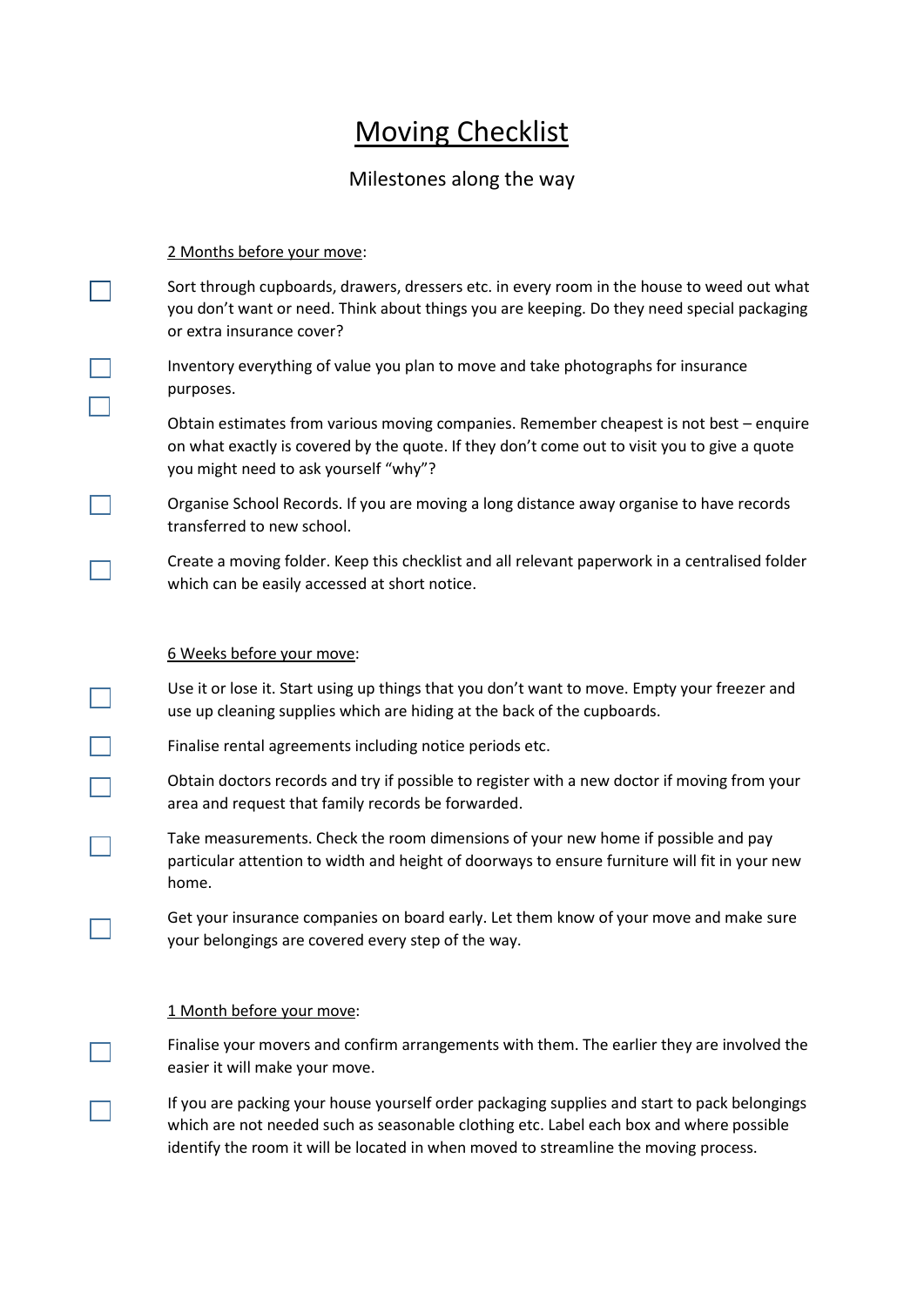# Moving Checklist

## Milestones along the way

### 2 Months before your move:

 $\mathbf{I}$ 

Sort through cupboards, drawers, dressers etc. in every room in the house to weed out what you don't want or need. Think about things you are keeping. Do they need special packaging or extra insurance cover?

Inventory everything of value you plan to move and take photographs for insurance purposes.

Obtain estimates from various moving companies. Remember cheapest is not best – enquire on what exactly is covered by the quote. If they don't come out to visit you to give a quote you might need to ask yourself "why"?

Organise School Records. If you are moving a long distance away organise to have records transferred to new school.

Create a moving folder. Keep this checklist and all relevant paperwork in a centralised folder which can be easily accessed at short notice.

### 6 Weeks before your move:

Use it or lose it. Start using up things that you don't want to move. Empty your freezer and use up cleaning supplies which are hiding at the back of the cupboards.

Finalise rental agreements including notice periods etc.

Obtain doctors records and try if possible to register with a new doctor if moving from your area and request that family records be forwarded.

Take measurements. Check the room dimensions of your new home if possible and pay particular attention to width and height of doorways to ensure furniture will fit in your new home.

Get your insurance companies on board early. Let them know of your move and make sure your belongings are covered every step of the way.

### 1 Month before your move:

Finalise your movers and confirm arrangements with them. The earlier they are involved the easier it will make your move.

If you are packing your house yourself order packaging supplies and start to pack belongings which are not needed such as seasonable clothing etc. Label each box and where possible identify the room it will be located in when moved to streamline the moving process.